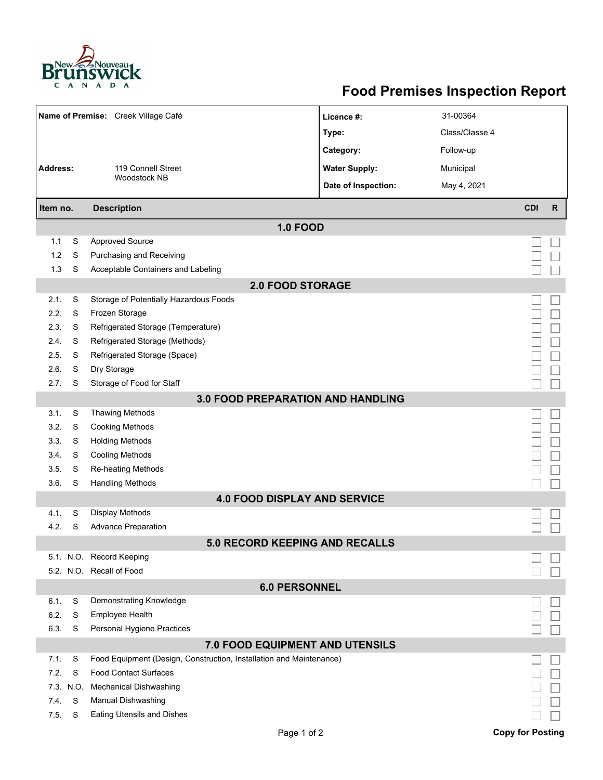

## **Food Premises Inspection Report**

|                                   |        | Name of Premise: Creek Village Café                                 | Licence #:           | 31-00364       |                         |              |  |  |  |  |
|-----------------------------------|--------|---------------------------------------------------------------------|----------------------|----------------|-------------------------|--------------|--|--|--|--|
|                                   |        |                                                                     | Type:                | Class/Classe 4 |                         |              |  |  |  |  |
|                                   |        |                                                                     | Category:            | Follow-up      |                         |              |  |  |  |  |
| Address:                          |        | 119 Connell Street                                                  | <b>Water Supply:</b> | Municipal      |                         |              |  |  |  |  |
|                                   |        | <b>Woodstock NB</b>                                                 | Date of Inspection:  | May 4, 2021    |                         |              |  |  |  |  |
| Item no.                          |        | <b>Description</b>                                                  |                      |                | <b>CDI</b>              | $\mathsf{R}$ |  |  |  |  |
| <b>1.0 FOOD</b>                   |        |                                                                     |                      |                |                         |              |  |  |  |  |
| 1.1                               | S      | <b>Approved Source</b>                                              |                      |                |                         |              |  |  |  |  |
| 1.2                               | S      | Purchasing and Receiving                                            |                      |                |                         |              |  |  |  |  |
| 1.3                               | S      | Acceptable Containers and Labeling                                  |                      |                |                         |              |  |  |  |  |
| <b>2.0 FOOD STORAGE</b>           |        |                                                                     |                      |                |                         |              |  |  |  |  |
| 2.1.                              | S      | Storage of Potentially Hazardous Foods                              |                      |                |                         |              |  |  |  |  |
| 2.2.                              | S      | Frozen Storage                                                      |                      |                |                         |              |  |  |  |  |
| 2.3.                              | S      | Refrigerated Storage (Temperature)                                  |                      |                |                         |              |  |  |  |  |
| 2.4.                              | S      | Refrigerated Storage (Methods)                                      |                      |                |                         |              |  |  |  |  |
| 2.5.                              | S      | Refrigerated Storage (Space)                                        |                      |                |                         |              |  |  |  |  |
| 2.6.                              | S      | Dry Storage                                                         |                      |                |                         |              |  |  |  |  |
| 2.7.                              | S      | Storage of Food for Staff                                           |                      |                |                         |              |  |  |  |  |
| 3.0 FOOD PREPARATION AND HANDLING |        |                                                                     |                      |                |                         |              |  |  |  |  |
| 3.1.                              | S      | <b>Thawing Methods</b>                                              |                      |                |                         |              |  |  |  |  |
| 3.2.                              | S      | <b>Cooking Methods</b>                                              |                      |                |                         |              |  |  |  |  |
| 3.3.                              | S      | <b>Holding Methods</b>                                              |                      |                |                         |              |  |  |  |  |
| 3.4.                              | S      | <b>Cooling Methods</b>                                              |                      |                |                         |              |  |  |  |  |
| 3.5.                              | S<br>S | Re-heating Methods                                                  |                      |                |                         |              |  |  |  |  |
| 3.6.                              |        | <b>Handling Methods</b><br><b>4.0 FOOD DISPLAY AND SERVICE</b>      |                      |                |                         |              |  |  |  |  |
| 4.1.                              | S      | <b>Display Methods</b>                                              |                      |                |                         |              |  |  |  |  |
| 4.2.                              | S      | <b>Advance Preparation</b>                                          |                      |                |                         |              |  |  |  |  |
|                                   |        | <b>5.0 RECORD KEEPING AND RECALLS</b>                               |                      |                |                         |              |  |  |  |  |
|                                   |        | 5.1. N.O. Record Keeping                                            |                      |                |                         |              |  |  |  |  |
|                                   |        | 5.2. N.O. Recall of Food                                            |                      |                |                         |              |  |  |  |  |
| <b>6.0 PERSONNEL</b>              |        |                                                                     |                      |                |                         |              |  |  |  |  |
| 6.1.                              | S      | Demonstrating Knowledge                                             |                      |                |                         |              |  |  |  |  |
| 6.2.                              | S      | <b>Employee Health</b>                                              |                      |                |                         |              |  |  |  |  |
| 6.3.                              | S      | Personal Hygiene Practices                                          |                      |                |                         |              |  |  |  |  |
| 7.0 FOOD EQUIPMENT AND UTENSILS   |        |                                                                     |                      |                |                         |              |  |  |  |  |
| 7.1.                              | S      | Food Equipment (Design, Construction, Installation and Maintenance) |                      |                |                         |              |  |  |  |  |
| 7.2.                              | S      | <b>Food Contact Surfaces</b>                                        |                      |                |                         |              |  |  |  |  |
| 7.3.                              | N.O.   | <b>Mechanical Dishwashing</b>                                       |                      |                |                         |              |  |  |  |  |
| 7.4.                              | S      | Manual Dishwashing                                                  |                      |                |                         |              |  |  |  |  |
| 7.5.                              | S      | <b>Eating Utensils and Dishes</b>                                   |                      |                |                         |              |  |  |  |  |
|                                   |        | Page 1 of 2                                                         |                      |                | <b>Copy for Posting</b> |              |  |  |  |  |